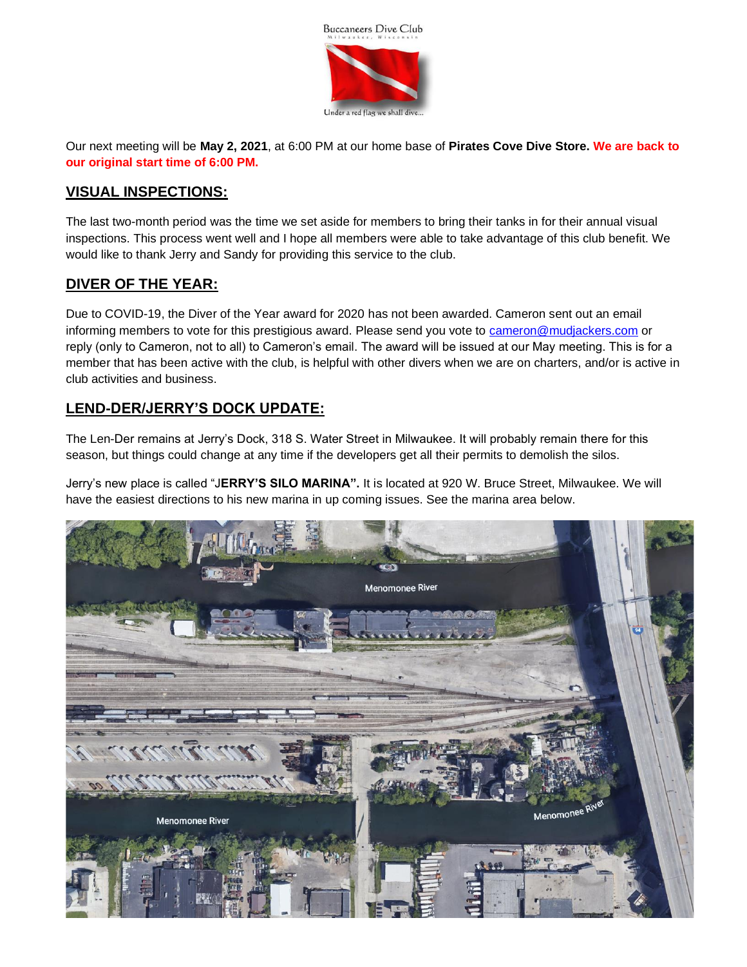

Our next meeting will be **May 2, 2021**, at 6:00 PM at our home base of **Pirates Cove Dive Store. We are back to our original start time of 6:00 PM.**

#### **VISUAL INSPECTIONS:**

The last two-month period was the time we set aside for members to bring their tanks in for their annual visual inspections. This process went well and I hope all members were able to take advantage of this club benefit. We would like to thank Jerry and Sandy for providing this service to the club.

#### **DIVER OF THE YEAR:**

Due to COVID-19, the Diver of the Year award for 2020 has not been awarded. Cameron sent out an email informing members to vote for this prestigious award. Please send you vote to [cameron@mudjackers.com](mailto:cameron@mudjackers.com) or reply (only to Cameron, not to all) to Cameron's email. The award will be issued at our May meeting. This is for a member that has been active with the club, is helpful with other divers when we are on charters, and/or is active in club activities and business.

# **LEND-DER/JERRY'S DOCK UPDATE:**

The Len-Der remains at Jerry's Dock, 318 S. Water Street in Milwaukee. It will probably remain there for this season, but things could change at any time if the developers get all their permits to demolish the silos.

Jerry's new place is called "J**ERRY'S SILO MARINA".** It is located at 920 W. Bruce Street, Milwaukee. We will have the easiest directions to his new marina in up coming issues. See the marina area below.

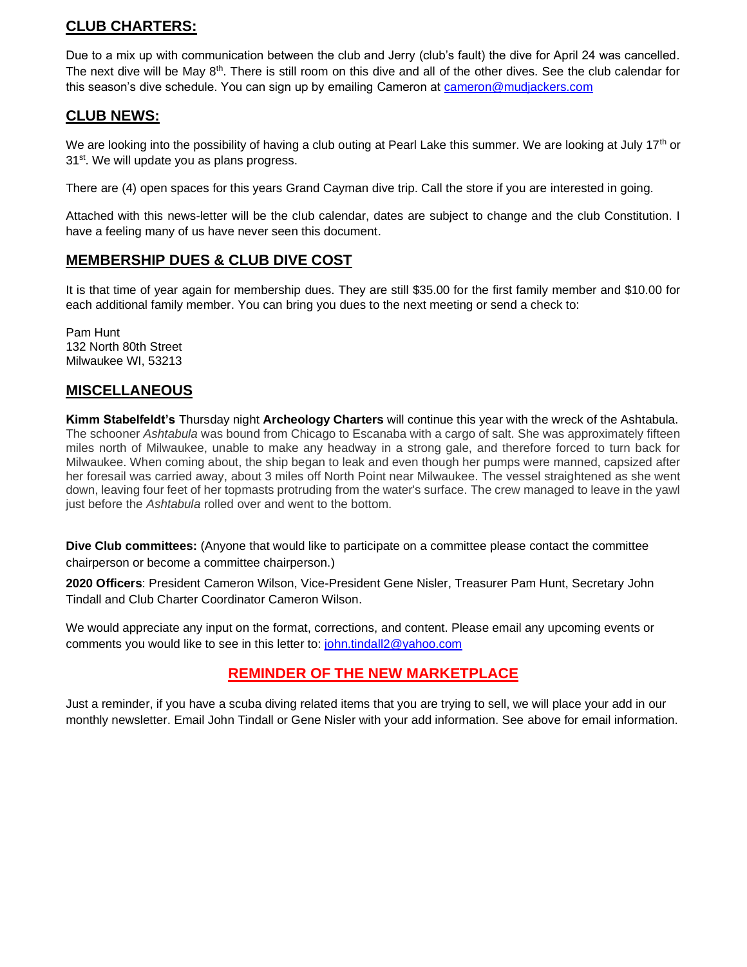# **CLUB CHARTERS:**

Due to a mix up with communication between the club and Jerry (club's fault) the dive for April 24 was cancelled. The next dive will be May 8<sup>th</sup>. There is still room on this dive and all of the other dives. See the club calendar for this season's dive schedule. You can sign up by emailing Cameron at [cameron@mudjackers.com](mailto:cameron@mudjackers.com)

#### **CLUB NEWS:**

We are looking into the possibility of having a club outing at Pearl Lake this summer. We are looking at July 17<sup>th</sup> or 31<sup>st</sup>. We will update you as plans progress.

There are (4) open spaces for this years Grand Cayman dive trip. Call the store if you are interested in going.

Attached with this news-letter will be the club calendar, dates are subject to change and the club Constitution. I have a feeling many of us have never seen this document.

#### **MEMBERSHIP DUES & CLUB DIVE COST**

It is that time of year again for membership dues. They are still \$35.00 for the first family member and \$10.00 for each additional family member. You can bring you dues to the next meeting or send a check to:

Pam Hunt 132 North 80th Street Milwaukee WI, 53213

# **MISCELLANEOUS**

**Kimm Stabelfeldt's** Thursday night **Archeology Charters** will continue this year with the wreck of the Ashtabula. The schooner *Ashtabula* was bound from Chicago to Escanaba with a cargo of salt. She was approximately fifteen miles north of Milwaukee, unable to make any headway in a strong gale, and therefore forced to turn back for Milwaukee. When coming about, the ship began to leak and even though her pumps were manned, capsized after her foresail was carried away, about 3 miles off North Point near Milwaukee. The vessel straightened as she went down, leaving four feet of her topmasts protruding from the water's surface. The crew managed to leave in the yawl just before the *Ashtabula* rolled over and went to the bottom.

**Dive Club committees:** (Anyone that would like to participate on a committee please contact the committee chairperson or become a committee chairperson.)

**2020 Officers**: President Cameron Wilson, Vice-President Gene Nisler, Treasurer Pam Hunt, Secretary John Tindall and Club Charter Coordinator Cameron Wilson.

We would appreciate any input on the format, corrections, and content. Please email any upcoming events or comments you would like to see in this letter to: [john.tindall2@yahoo.com](mailto:john.tindall2@yahoo.com)

# **REMINDER OF THE NEW MARKETPLACE**

Just a reminder, if you have a scuba diving related items that you are trying to sell, we will place your add in our monthly newsletter. Email John Tindall or Gene Nisler with your add information. See above for email information.